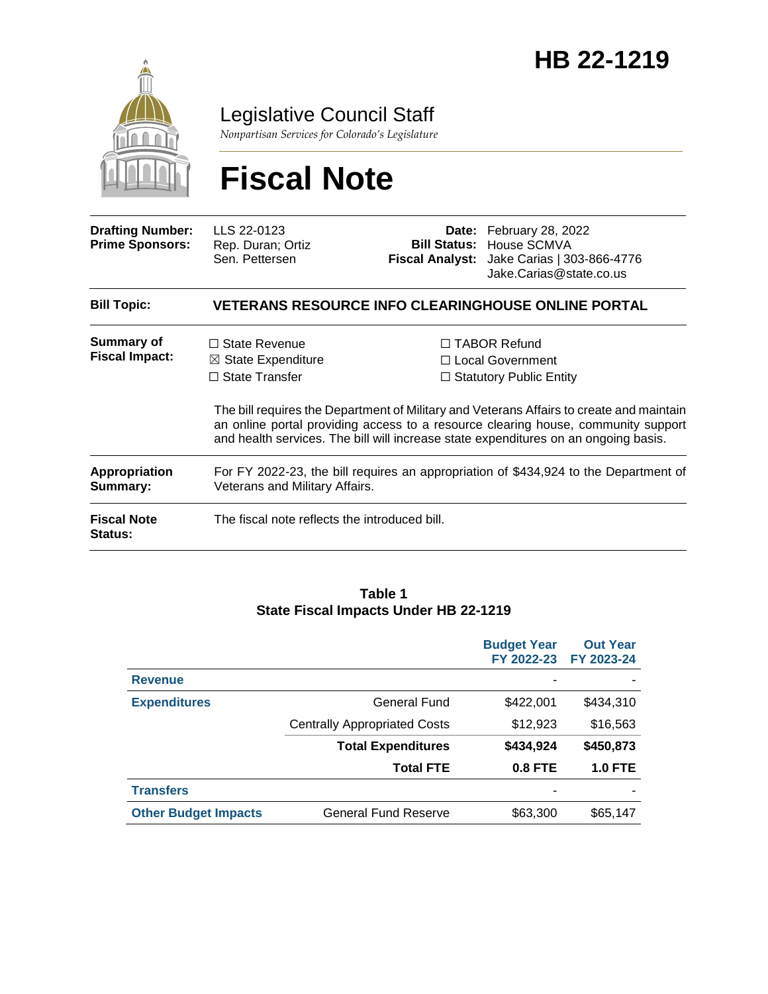

### Legislative Council Staff

*Nonpartisan Services for Colorado's Legislature*

# **Fiscal Note**

| <b>Drafting Number:</b><br><b>Prime Sponsors:</b> | LLS 22-0123<br>Rep. Duran; Ortiz<br>Sen. Pettersen                                                                     |  | Date: February 28, 2022<br><b>Bill Status: House SCMVA</b><br>Fiscal Analyst: Jake Carias   303-866-4776<br>Jake.Carias@state.co.us                                                                                                                                                                                                                      |  |  |
|---------------------------------------------------|------------------------------------------------------------------------------------------------------------------------|--|----------------------------------------------------------------------------------------------------------------------------------------------------------------------------------------------------------------------------------------------------------------------------------------------------------------------------------------------------------|--|--|
| <b>Bill Topic:</b>                                | <b>VETERANS RESOURCE INFO CLEARINGHOUSE ONLINE PORTAL</b>                                                              |  |                                                                                                                                                                                                                                                                                                                                                          |  |  |
| Summary of<br><b>Fiscal Impact:</b>               | $\Box$ State Revenue<br>$\boxtimes$ State Expenditure<br>$\Box$ State Transfer                                         |  | $\Box$ TABOR Refund<br>$\Box$ Local Government<br>$\Box$ Statutory Public Entity<br>The bill requires the Department of Military and Veterans Affairs to create and maintain<br>an online portal providing access to a resource clearing house, community support<br>and health services. The bill will increase state expenditures on an ongoing basis. |  |  |
| <b>Appropriation</b><br>Summary:                  | For FY 2022-23, the bill requires an appropriation of \$434,924 to the Department of<br>Veterans and Military Affairs. |  |                                                                                                                                                                                                                                                                                                                                                          |  |  |
| <b>Fiscal Note</b><br><b>Status:</b>              | The fiscal note reflects the introduced bill.                                                                          |  |                                                                                                                                                                                                                                                                                                                                                          |  |  |

#### **Table 1 State Fiscal Impacts Under HB 22-1219**

|                             |                                     | <b>Budget Year</b><br>FY 2022-23 | <b>Out Year</b><br>FY 2023-24 |
|-----------------------------|-------------------------------------|----------------------------------|-------------------------------|
| <b>Revenue</b>              |                                     |                                  |                               |
| <b>Expenditures</b>         | General Fund                        | \$422,001                        | \$434,310                     |
|                             | <b>Centrally Appropriated Costs</b> | \$12,923                         | \$16,563                      |
|                             | <b>Total Expenditures</b>           | \$434,924                        | \$450,873                     |
|                             | <b>Total FTE</b>                    | <b>0.8 FTE</b>                   | <b>1.0 FTE</b>                |
| <b>Transfers</b>            |                                     |                                  |                               |
| <b>Other Budget Impacts</b> | <b>General Fund Reserve</b>         | \$63,300                         | \$65,147                      |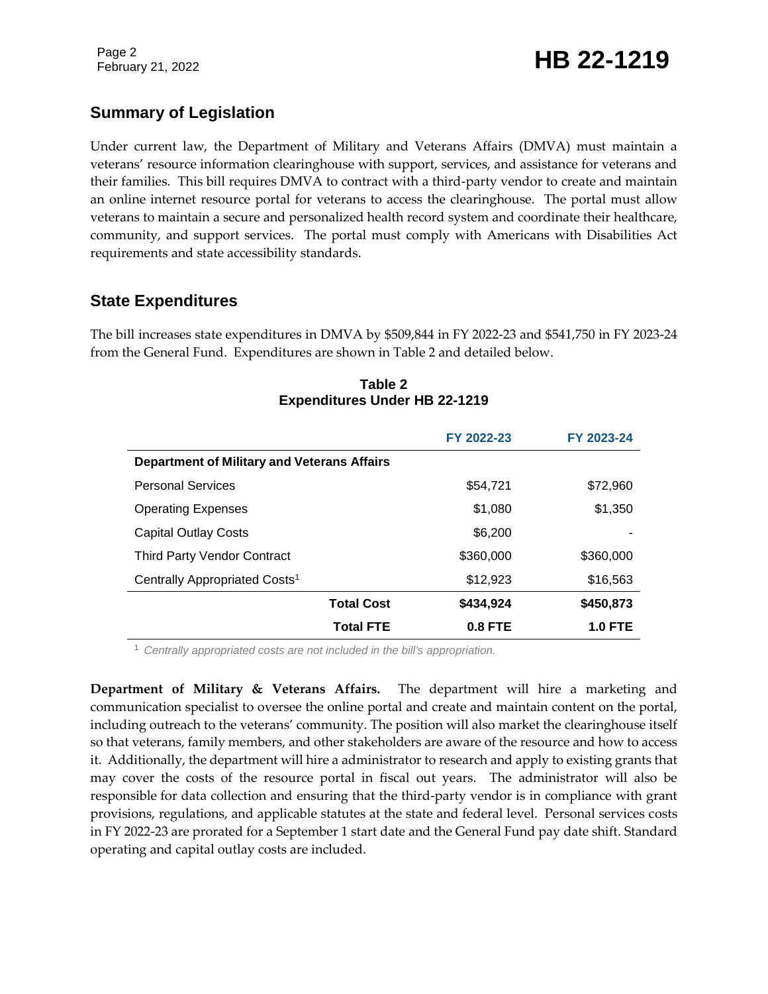### **Summary of Legislation**

Under current law, the Department of Military and Veterans Affairs (DMVA) must maintain a veterans' resource information clearinghouse with support, services, and assistance for veterans and their families. This bill requires DMVA to contract with a third-party vendor to create and maintain an online internet resource portal for veterans to access the clearinghouse. The portal must allow veterans to maintain a secure and personalized health record system and coordinate their healthcare, community, and support services. The portal must comply with Americans with Disabilities Act requirements and state accessibility standards.

### **State Expenditures**

The bill increases state expenditures in DMVA by \$509,844 in FY 2022-23 and \$541,750 in FY 2023-24 from the General Fund. Expenditures are shown in Table 2 and detailed below.

|                                                    | FY 2022-23 | FY 2023-24     |  |  |  |
|----------------------------------------------------|------------|----------------|--|--|--|
| <b>Department of Military and Veterans Affairs</b> |            |                |  |  |  |
| <b>Personal Services</b>                           | \$54.721   | \$72,960       |  |  |  |
| <b>Operating Expenses</b>                          | \$1,080    | \$1,350        |  |  |  |
| <b>Capital Outlay Costs</b>                        | \$6,200    |                |  |  |  |
| <b>Third Party Vendor Contract</b>                 | \$360,000  | \$360,000      |  |  |  |
| Centrally Appropriated Costs <sup>1</sup>          | \$12,923   | \$16,563       |  |  |  |
| <b>Total Cost</b>                                  | \$434,924  | \$450,873      |  |  |  |
| <b>Total FTE</b>                                   | $0.8$ FTE  | <b>1.0 FTE</b> |  |  |  |

**Table 2 Expenditures Under HB 22-1219**

<sup>1</sup> *Centrally appropriated costs are not included in the bill's appropriation.*

**Department of Military & Veterans Affairs.** The department will hire a marketing and communication specialist to oversee the online portal and create and maintain content on the portal, including outreach to the veterans' community. The position will also market the clearinghouse itself so that veterans, family members, and other stakeholders are aware of the resource and how to access it. Additionally, the department will hire a administrator to research and apply to existing grants that may cover the costs of the resource portal in fiscal out years. The administrator will also be responsible for data collection and ensuring that the third-party vendor is in compliance with grant provisions, regulations, and applicable statutes at the state and federal level. Personal services costs in FY 2022-23 are prorated for a September 1 start date and the General Fund pay date shift. Standard operating and capital outlay costs are included.